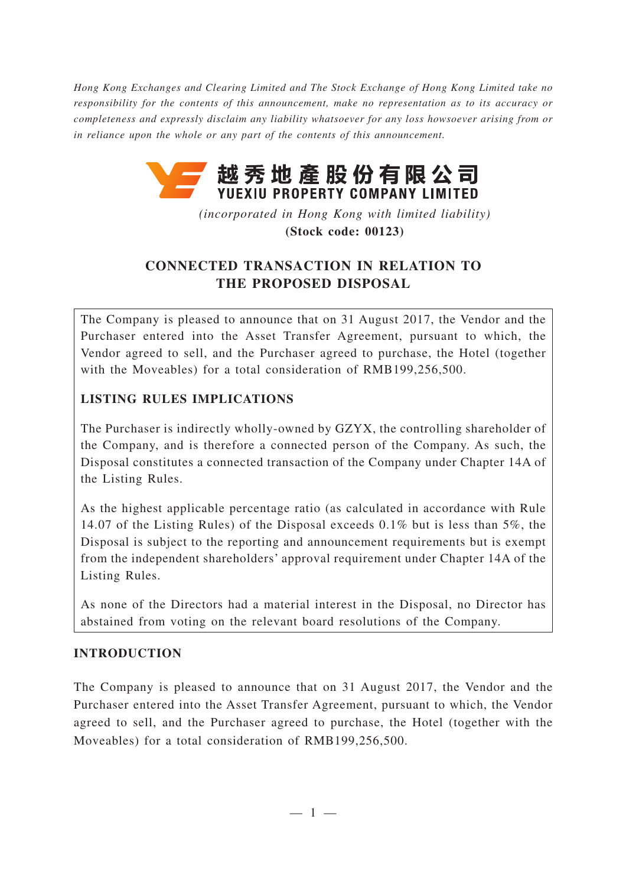*Hong Kong Exchanges and Clearing Limited and The Stock Exchange of Hong Kong Limited take no responsibility for the contents of this announcement, make no representation as to its accuracy or completeness and expressly disclaim any liability whatsoever for any loss howsoever arising from or in reliance upon the whole or any part of the contents of this announcement.*



*(incorporated in Hong Kong with limited liability)* **(Stock code: 00123)**

# **CONNECTED TRANSACTION IN RELATION TO THE PROPOSED DISPOSAL**

The Company is pleased to announce that on 31 August 2017, the Vendor and the Purchaser entered into the Asset Transfer Agreement, pursuant to which, the Vendor agreed to sell, and the Purchaser agreed to purchase, the Hotel (together with the Moveables) for a total consideration of RMB199,256,500.

## **LISTING RULES IMPLICATIONS**

The Purchaser is indirectly wholly-owned by GZYX, the controlling shareholder of the Company, and is therefore a connected person of the Company. As such, the Disposal constitutes a connected transaction of the Company under Chapter 14A of the Listing Rules.

As the highest applicable percentage ratio (as calculated in accordance with Rule 14.07 of the Listing Rules) of the Disposal exceeds 0.1% but is less than 5%, the Disposal is subject to the reporting and announcement requirements but is exempt from the independent shareholders' approval requirement under Chapter 14A of the Listing Rules.

As none of the Directors had a material interest in the Disposal, no Director has abstained from voting on the relevant board resolutions of the Company.

## **INTRODUCTION**

The Company is pleased to announce that on 31 August 2017, the Vendor and the Purchaser entered into the Asset Transfer Agreement, pursuant to which, the Vendor agreed to sell, and the Purchaser agreed to purchase, the Hotel (together with the Moveables) for a total consideration of RMB199,256,500.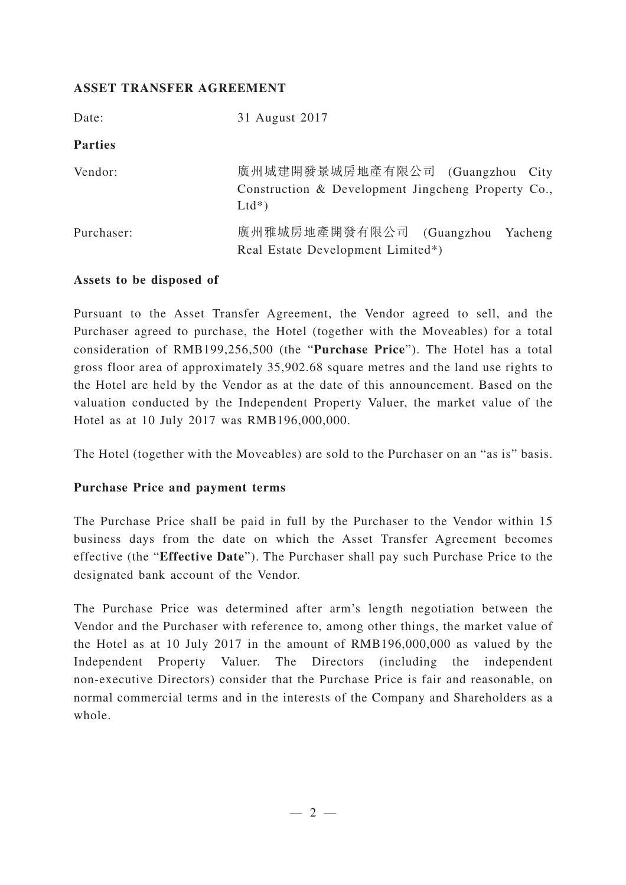## **ASSET TRANSFER AGREEMENT**

| Date:          | 31 August 2017                                                                                    |
|----------------|---------------------------------------------------------------------------------------------------|
| <b>Parties</b> |                                                                                                   |
| Vendor:        | 廣州城建開發景城房地產有限公司 (Guangzhou City<br>Construction & Development Jingcheng Property Co.,<br>$Ltd^*)$ |
| Purchaser:     | 廣州雅城房地產開發有限公司 (Guangzhou<br>Yacheng<br>Real Estate Development Limited*)                          |

#### **Assets to be disposed of**

Pursuant to the Asset Transfer Agreement, the Vendor agreed to sell, and the Purchaser agreed to purchase, the Hotel (together with the Moveables) for a total consideration of RMB199,256,500 (the "**Purchase Price**"). The Hotel has a total gross floor area of approximately 35,902.68 square metres and the land use rights to the Hotel are held by the Vendor as at the date of this announcement. Based on the valuation conducted by the Independent Property Valuer, the market value of the Hotel as at 10 July 2017 was RMB196,000,000.

The Hotel (together with the Moveables) are sold to the Purchaser on an "as is" basis.

#### **Purchase Price and payment terms**

The Purchase Price shall be paid in full by the Purchaser to the Vendor within 15 business days from the date on which the Asset Transfer Agreement becomes effective (the "**Effective Date**"). The Purchaser shall pay such Purchase Price to the designated bank account of the Vendor.

The Purchase Price was determined after arm's length negotiation between the Vendor and the Purchaser with reference to, among other things, the market value of the Hotel as at 10 July 2017 in the amount of RMB196,000,000 as valued by the Independent Property Valuer. The Directors (including the independent non-executive Directors) consider that the Purchase Price is fair and reasonable, on normal commercial terms and in the interests of the Company and Shareholders as a whole.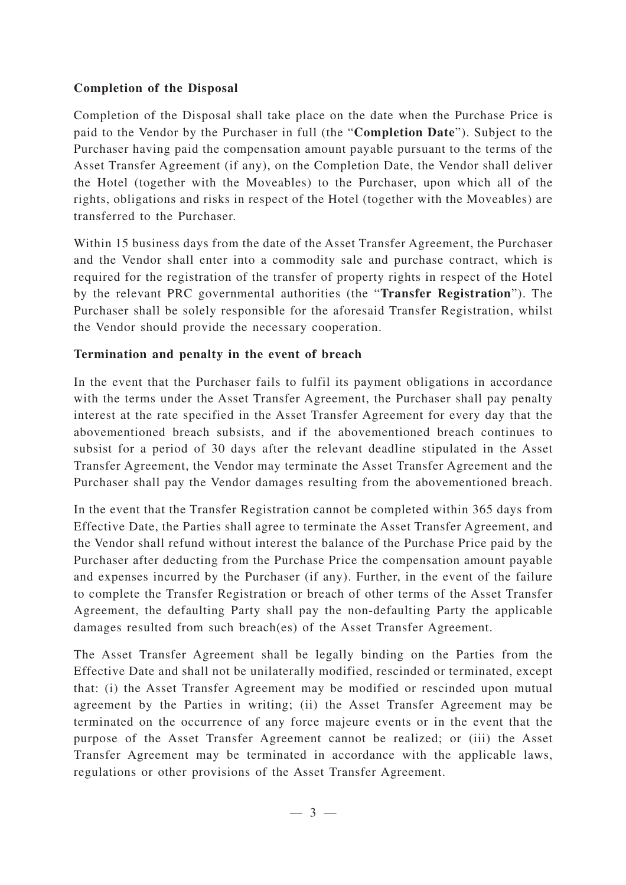## **Completion of the Disposal**

Completion of the Disposal shall take place on the date when the Purchase Price is paid to the Vendor by the Purchaser in full (the "**Completion Date**"). Subject to the Purchaser having paid the compensation amount payable pursuant to the terms of the Asset Transfer Agreement (if any), on the Completion Date, the Vendor shall deliver the Hotel (together with the Moveables) to the Purchaser, upon which all of the rights, obligations and risks in respect of the Hotel (together with the Moveables) are transferred to the Purchaser.

Within 15 business days from the date of the Asset Transfer Agreement, the Purchaser and the Vendor shall enter into a commodity sale and purchase contract, which is required for the registration of the transfer of property rights in respect of the Hotel by the relevant PRC governmental authorities (the "**Transfer Registration**"). The Purchaser shall be solely responsible for the aforesaid Transfer Registration, whilst the Vendor should provide the necessary cooperation.

## **Termination and penalty in the event of breach**

In the event that the Purchaser fails to fulfil its payment obligations in accordance with the terms under the Asset Transfer Agreement, the Purchaser shall pay penalty interest at the rate specified in the Asset Transfer Agreement for every day that the abovementioned breach subsists, and if the abovementioned breach continues to subsist for a period of 30 days after the relevant deadline stipulated in the Asset Transfer Agreement, the Vendor may terminate the Asset Transfer Agreement and the Purchaser shall pay the Vendor damages resulting from the abovementioned breach.

In the event that the Transfer Registration cannot be completed within 365 days from Effective Date, the Parties shall agree to terminate the Asset Transfer Agreement, and the Vendor shall refund without interest the balance of the Purchase Price paid by the Purchaser after deducting from the Purchase Price the compensation amount payable and expenses incurred by the Purchaser (if any). Further, in the event of the failure to complete the Transfer Registration or breach of other terms of the Asset Transfer Agreement, the defaulting Party shall pay the non-defaulting Party the applicable damages resulted from such breach(es) of the Asset Transfer Agreement.

The Asset Transfer Agreement shall be legally binding on the Parties from the Effective Date and shall not be unilaterally modified, rescinded or terminated, except that: (i) the Asset Transfer Agreement may be modified or rescinded upon mutual agreement by the Parties in writing; (ii) the Asset Transfer Agreement may be terminated on the occurrence of any force majeure events or in the event that the purpose of the Asset Transfer Agreement cannot be realized; or (iii) the Asset Transfer Agreement may be terminated in accordance with the applicable laws, regulations or other provisions of the Asset Transfer Agreement.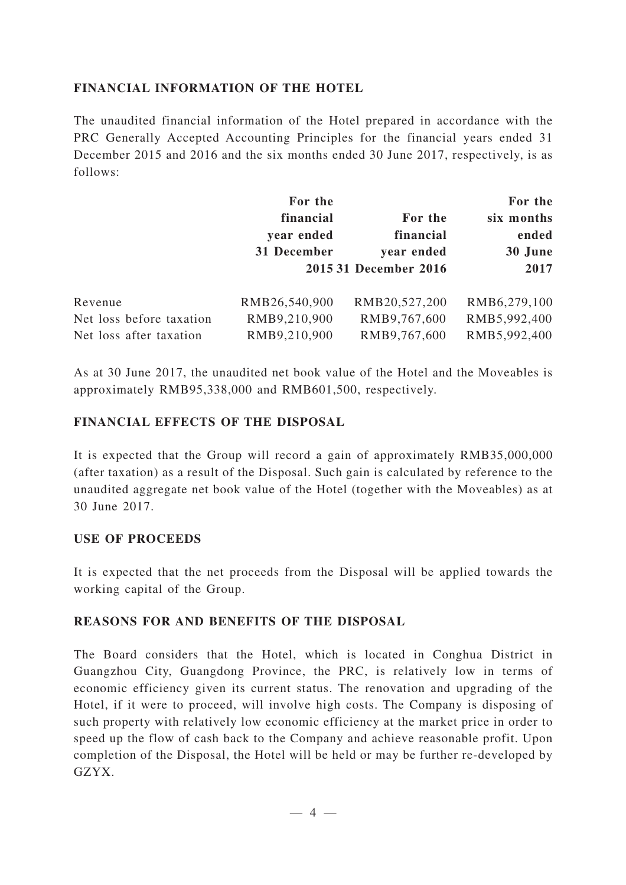## **FINANCIAL INFORMATION OF THE HOTEL**

The unaudited financial information of the Hotel prepared in accordance with the PRC Generally Accepted Accounting Principles for the financial years ended 31 December 2015 and 2016 and the six months ended 30 June 2017, respectively, is as follows:

|                          | For the       |                       | For the      |
|--------------------------|---------------|-----------------------|--------------|
|                          | financial     | For the               | six months   |
|                          | year ended    | financial             | ended        |
|                          | 31 December   | year ended            | 30 June      |
|                          |               | 2015 31 December 2016 | 2017         |
| Revenue                  | RMB26,540,900 | RMB20,527,200         | RMB6,279,100 |
| Net loss before taxation | RMB9,210,900  | RMB9,767,600          | RMB5,992,400 |
| Net loss after taxation  | RMB9,210,900  | RMB9,767,600          | RMB5,992,400 |

As at 30 June 2017, the unaudited net book value of the Hotel and the Moveables is approximately RMB95,338,000 and RMB601,500, respectively.

## **FINANCIAL EFFECTS OF THE DISPOSAL**

It is expected that the Group will record a gain of approximately RMB35,000,000 (after taxation) as a result of the Disposal. Such gain is calculated by reference to the unaudited aggregate net book value of the Hotel (together with the Moveables) as at 30 June 2017.

#### **USE OF PROCEEDS**

It is expected that the net proceeds from the Disposal will be applied towards the working capital of the Group.

#### **REASONS FOR AND BENEFITS OF THE DISPOSAL**

The Board considers that the Hotel, which is located in Conghua District in Guangzhou City, Guangdong Province, the PRC, is relatively low in terms of economic efficiency given its current status. The renovation and upgrading of the Hotel, if it were to proceed, will involve high costs. The Company is disposing of such property with relatively low economic efficiency at the market price in order to speed up the flow of cash back to the Company and achieve reasonable profit. Upon completion of the Disposal, the Hotel will be held or may be further re-developed by GZYX.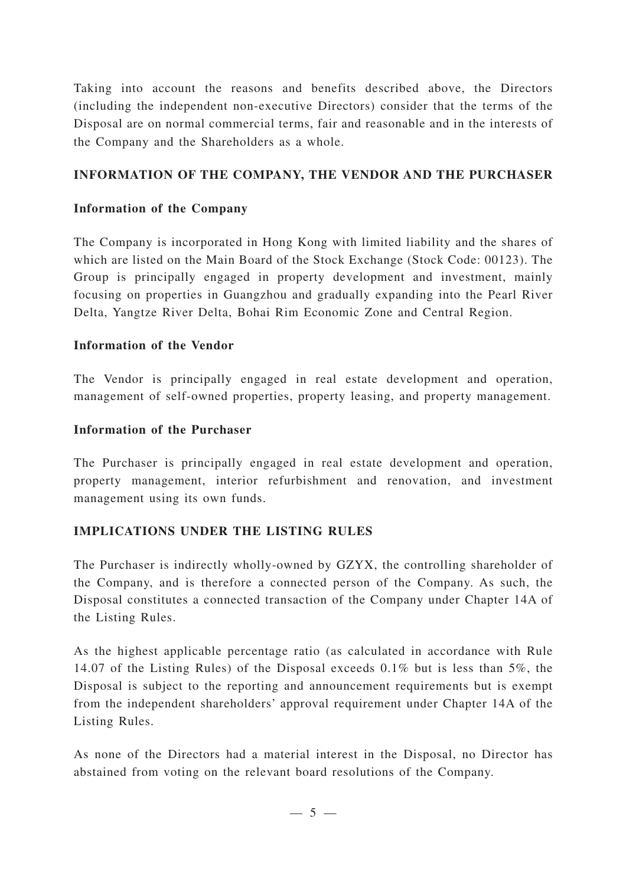Taking into account the reasons and benefits described above, the Directors (including the independent non-executive Directors) consider that the terms of the Disposal are on normal commercial terms, fair and reasonable and in the interests of the Company and the Shareholders as a whole.

## **INFORMATION OF THE COMPANY, THE VENDOR AND THE PURCHASER**

## **Information of the Company**

The Company is incorporated in Hong Kong with limited liability and the shares of which are listed on the Main Board of the Stock Exchange (Stock Code: 00123). The Group is principally engaged in property development and investment, mainly focusing on properties in Guangzhou and gradually expanding into the Pearl River Delta, Yangtze River Delta, Bohai Rim Economic Zone and Central Region.

## **Information of the Vendor**

The Vendor is principally engaged in real estate development and operation, management of self-owned properties, property leasing, and property management.

#### **Information of the Purchaser**

The Purchaser is principally engaged in real estate development and operation, property management, interior refurbishment and renovation, and investment management using its own funds.

## **IMPLICATIONS UNDER THE LISTING RULES**

The Purchaser is indirectly wholly-owned by GZYX, the controlling shareholder of the Company, and is therefore a connected person of the Company. As such, the Disposal constitutes a connected transaction of the Company under Chapter 14A of the Listing Rules.

As the highest applicable percentage ratio (as calculated in accordance with Rule 14.07 of the Listing Rules) of the Disposal exceeds 0.1% but is less than 5%, the Disposal is subject to the reporting and announcement requirements but is exempt from the independent shareholders' approval requirement under Chapter 14A of the Listing Rules.

As none of the Directors had a material interest in the Disposal, no Director has abstained from voting on the relevant board resolutions of the Company.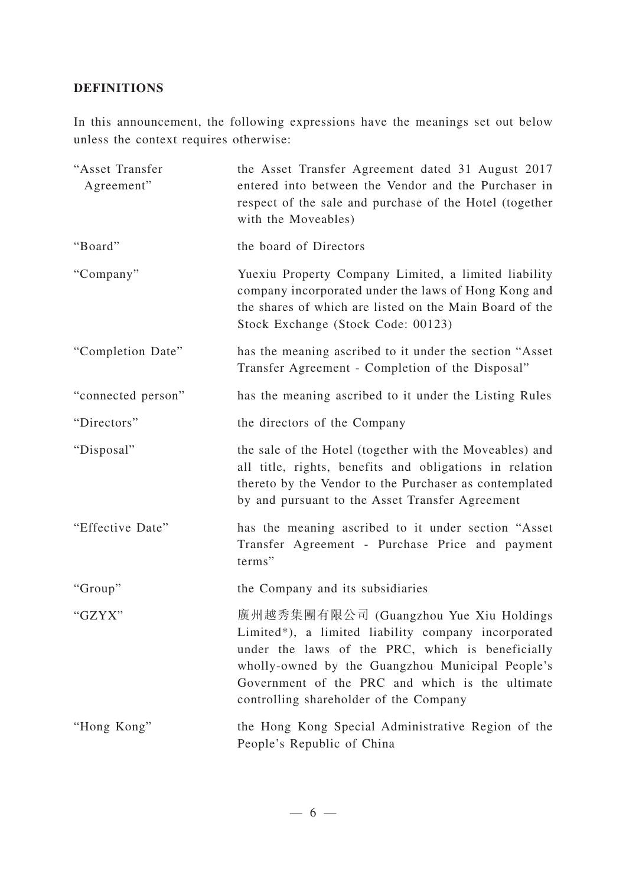## **DEFINITIONS**

In this announcement, the following expressions have the meanings set out below unless the context requires otherwise:

| "Asset Transfer<br>Agreement" | the Asset Transfer Agreement dated 31 August 2017<br>entered into between the Vendor and the Purchaser in<br>respect of the sale and purchase of the Hotel (together<br>with the Moveables)                                                                                                        |
|-------------------------------|----------------------------------------------------------------------------------------------------------------------------------------------------------------------------------------------------------------------------------------------------------------------------------------------------|
| "Board"                       | the board of Directors                                                                                                                                                                                                                                                                             |
| "Company"                     | Yuexiu Property Company Limited, a limited liability<br>company incorporated under the laws of Hong Kong and<br>the shares of which are listed on the Main Board of the<br>Stock Exchange (Stock Code: 00123)                                                                                      |
| "Completion Date"             | has the meaning ascribed to it under the section "Asset<br>Transfer Agreement - Completion of the Disposal"                                                                                                                                                                                        |
| "connected person"            | has the meaning ascribed to it under the Listing Rules                                                                                                                                                                                                                                             |
| "Directors"                   | the directors of the Company                                                                                                                                                                                                                                                                       |
| "Disposal"                    | the sale of the Hotel (together with the Moveables) and<br>all title, rights, benefits and obligations in relation<br>thereto by the Vendor to the Purchaser as contemplated<br>by and pursuant to the Asset Transfer Agreement                                                                    |
| "Effective Date"              | has the meaning ascribed to it under section "Asset<br>Transfer Agreement - Purchase Price and payment<br>terms"                                                                                                                                                                                   |
| "Group"                       | the Company and its subsidiaries                                                                                                                                                                                                                                                                   |
| "GZYX"                        | 廣州越秀集團有限公司 (Guangzhou Yue Xiu Holdings<br>Limited*), a limited liability company incorporated<br>under the laws of the PRC, which is beneficially<br>wholly-owned by the Guangzhou Municipal People's<br>Government of the PRC and which is the ultimate<br>controlling shareholder of the Company |
| "Hong Kong"                   | the Hong Kong Special Administrative Region of the<br>People's Republic of China                                                                                                                                                                                                                   |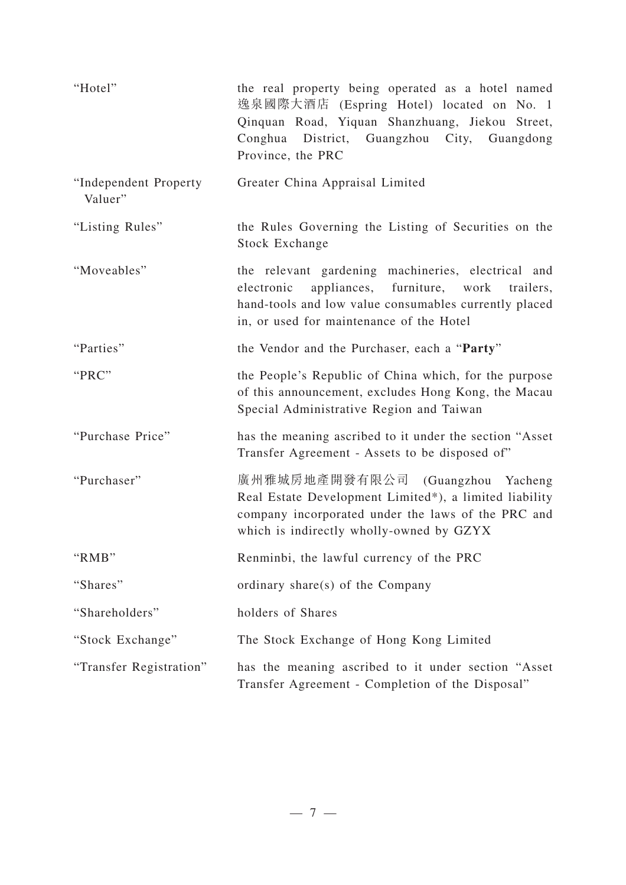| "Hotel"                          | the real property being operated as a hotel named<br>逸泉國際大酒店 (Espring Hotel) located on No. 1<br>Qinquan Road, Yiquan Shanzhuang, Jiekou Street,<br>Conghua District, Guangzhou City, Guangdong<br>Province, the PRC |
|----------------------------------|----------------------------------------------------------------------------------------------------------------------------------------------------------------------------------------------------------------------|
| "Independent Property<br>Valuer" | Greater China Appraisal Limited                                                                                                                                                                                      |
| "Listing Rules"                  | the Rules Governing the Listing of Securities on the<br>Stock Exchange                                                                                                                                               |
| "Moveables"                      | the relevant gardening machineries, electrical and<br>appliances, furniture, work<br>electronic<br>trailers,<br>hand-tools and low value consumables currently placed<br>in, or used for maintenance of the Hotel    |
| "Parties"                        | the Vendor and the Purchaser, each a "Party"                                                                                                                                                                         |
| "PRC"                            | the People's Republic of China which, for the purpose<br>of this announcement, excludes Hong Kong, the Macau<br>Special Administrative Region and Taiwan                                                             |
| "Purchase Price"                 | has the meaning ascribed to it under the section "Asset<br>Transfer Agreement - Assets to be disposed of"                                                                                                            |
| "Purchaser"                      | 廣州雅城房地產開發有限公司 (Guangzhou Yacheng<br>Real Estate Development Limited*), a limited liability<br>company incorporated under the laws of the PRC and<br>which is indirectly wholly-owned by GZYX                         |
| "RMB"                            | Renminbi, the lawful currency of the PRC                                                                                                                                                                             |
| "Shares"                         | ordinary share(s) of the Company                                                                                                                                                                                     |
| "Shareholders"                   | holders of Shares                                                                                                                                                                                                    |
| "Stock Exchange"                 | The Stock Exchange of Hong Kong Limited                                                                                                                                                                              |
| "Transfer Registration"          | has the meaning ascribed to it under section "Asset<br>Transfer Agreement - Completion of the Disposal"                                                                                                              |